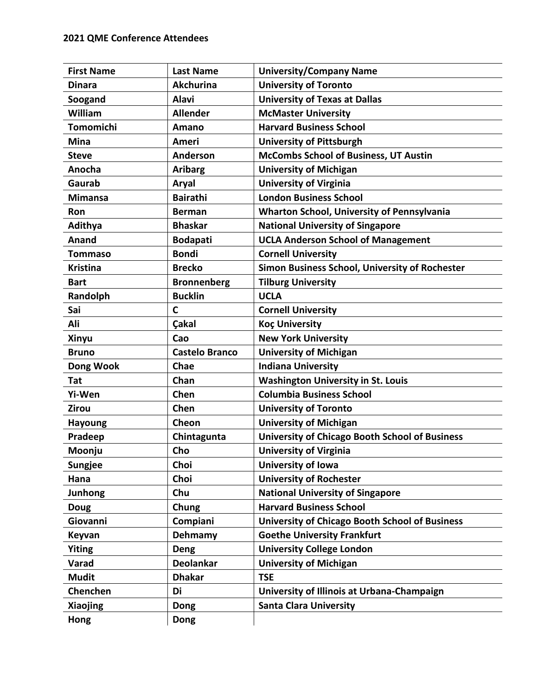| <b>First Name</b> | <b>Last Name</b>      | <b>University/Company Name</b>                        |
|-------------------|-----------------------|-------------------------------------------------------|
| <b>Dinara</b>     | <b>Akchurina</b>      | <b>University of Toronto</b>                          |
| Soogand           | <b>Alavi</b>          | <b>University of Texas at Dallas</b>                  |
| William           | <b>Allender</b>       | <b>McMaster University</b>                            |
| <b>Tomomichi</b>  | Amano                 | <b>Harvard Business School</b>                        |
| <b>Mina</b>       | Ameri                 | <b>University of Pittsburgh</b>                       |
| <b>Steve</b>      | Anderson              | McCombs School of Business, UT Austin                 |
| Anocha            | <b>Aribarg</b>        | <b>University of Michigan</b>                         |
| Gaurab            | Aryal                 | <b>University of Virginia</b>                         |
| <b>Mimansa</b>    | <b>Bairathi</b>       | <b>London Business School</b>                         |
| <b>Ron</b>        | <b>Berman</b>         | <b>Wharton School, University of Pennsylvania</b>     |
| Adithya           | <b>Bhaskar</b>        | <b>National University of Singapore</b>               |
| Anand             | <b>Bodapati</b>       | <b>UCLA Anderson School of Management</b>             |
| Tommaso           | <b>Bondi</b>          | <b>Cornell University</b>                             |
| <b>Kristina</b>   | <b>Brecko</b>         | Simon Business School, University of Rochester        |
| <b>Bart</b>       | <b>Bronnenberg</b>    | <b>Tilburg University</b>                             |
| Randolph          | <b>Bucklin</b>        | <b>UCLA</b>                                           |
| Sai               | $\mathbf C$           | <b>Cornell University</b>                             |
| Ali               | <b>Çakal</b>          | <b>Koç University</b>                                 |
| <b>Xinyu</b>      | Cao                   | <b>New York University</b>                            |
| <b>Bruno</b>      | <b>Castelo Branco</b> | <b>University of Michigan</b>                         |
| Dong Wook         | Chae                  | <b>Indiana University</b>                             |
| Tat               | Chan                  | <b>Washington University in St. Louis</b>             |
| Yi-Wen            | Chen                  | <b>Columbia Business School</b>                       |
| Zirou             | Chen                  | <b>University of Toronto</b>                          |
| <b>Hayoung</b>    | Cheon                 | <b>University of Michigan</b>                         |
| Pradeep           | Chintagunta           | <b>University of Chicago Booth School of Business</b> |
| Moonju            | Cho                   | <b>University of Virginia</b>                         |
| <b>Sungjee</b>    | Choi                  | <b>University of Iowa</b>                             |
| Hana              | Choi                  | <b>University of Rochester</b>                        |
| <b>Junhong</b>    | Chu                   | <b>National University of Singapore</b>               |
| <b>Doug</b>       | Chung                 | <b>Harvard Business School</b>                        |
| Giovanni          | Compiani              | <b>University of Chicago Booth School of Business</b> |
| Keyvan            | Dehmamy               | <b>Goethe University Frankfurt</b>                    |
| <b>Yiting</b>     | Deng                  | <b>University College London</b>                      |
| Varad             | <b>Deolankar</b>      | <b>University of Michigan</b>                         |
| <b>Mudit</b>      | <b>Dhakar</b>         | <b>TSE</b>                                            |
| Chenchen          | Di                    | University of Illinois at Urbana-Champaign            |
| Xiaojing          | Dong                  | <b>Santa Clara University</b>                         |
| Hong              | Dong                  |                                                       |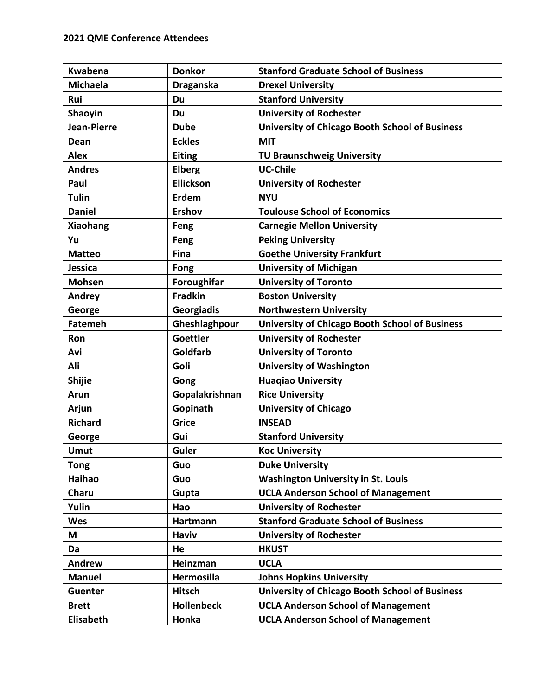| <b>Kwabena</b>   | <b>Donkor</b>     | <b>Stanford Graduate School of Business</b>           |
|------------------|-------------------|-------------------------------------------------------|
| <b>Michaela</b>  | <b>Draganska</b>  | <b>Drexel University</b>                              |
| Rui              | Du                | <b>Stanford University</b>                            |
| Shaoyin          | Du                | <b>University of Rochester</b>                        |
| Jean-Pierre      | <b>Dube</b>       | <b>University of Chicago Booth School of Business</b> |
| Dean             | <b>Eckles</b>     | <b>MIT</b>                                            |
| <b>Alex</b>      | <b>Eiting</b>     | <b>TU Braunschweig University</b>                     |
| <b>Andres</b>    | <b>Elberg</b>     | <b>UC-Chile</b>                                       |
| Paul             | <b>Ellickson</b>  | <b>University of Rochester</b>                        |
| <b>Tulin</b>     | Erdem             | <b>NYU</b>                                            |
| <b>Daniel</b>    | <b>Ershov</b>     | <b>Toulouse School of Economics</b>                   |
| Xiaohang         | Feng              | <b>Carnegie Mellon University</b>                     |
| Yu               | Feng              | <b>Peking University</b>                              |
| <b>Matteo</b>    | <b>Fina</b>       | <b>Goethe University Frankfurt</b>                    |
| <b>Jessica</b>   | Fong              | <b>University of Michigan</b>                         |
| <b>Mohsen</b>    | Foroughifar       | <b>University of Toronto</b>                          |
| Andrey           | <b>Fradkin</b>    | <b>Boston University</b>                              |
| George           | Georgiadis        | <b>Northwestern University</b>                        |
| <b>Fatemeh</b>   | Gheshlaghpour     | <b>University of Chicago Booth School of Business</b> |
| Ron              | <b>Goettler</b>   | <b>University of Rochester</b>                        |
| Avi              | Goldfarb          | <b>University of Toronto</b>                          |
| Ali              | Goli              | <b>University of Washington</b>                       |
| <b>Shijie</b>    | Gong              | <b>Huagiao University</b>                             |
| Arun             | Gopalakrishnan    | <b>Rice University</b>                                |
| Arjun            | Gopinath          | <b>University of Chicago</b>                          |
| <b>Richard</b>   | <b>Grice</b>      | <b>INSEAD</b>                                         |
| George           | Gui               | <b>Stanford University</b>                            |
| <b>Umut</b>      | Guler             | <b>Koc University</b>                                 |
| <b>Tong</b>      | Guo               | <b>Duke University</b>                                |
| Haihao           | Guo               | <b>Washington University in St. Louis</b>             |
| Charu            | Gupta             | <b>UCLA Anderson School of Management</b>             |
| Yulin            | Hao               | <b>University of Rochester</b>                        |
| Wes              | Hartmann          | <b>Stanford Graduate School of Business</b>           |
| M                | <b>Haviv</b>      | <b>University of Rochester</b>                        |
| Da               | He                | <b>HKUST</b>                                          |
| <b>Andrew</b>    | Heinzman          | <b>UCLA</b>                                           |
| <b>Manuel</b>    | <b>Hermosilla</b> | <b>Johns Hopkins University</b>                       |
| <b>Guenter</b>   | <b>Hitsch</b>     | <b>University of Chicago Booth School of Business</b> |
| <b>Brett</b>     | <b>Hollenbeck</b> | <b>UCLA Anderson School of Management</b>             |
| <b>Elisabeth</b> | Honka             | <b>UCLA Anderson School of Management</b>             |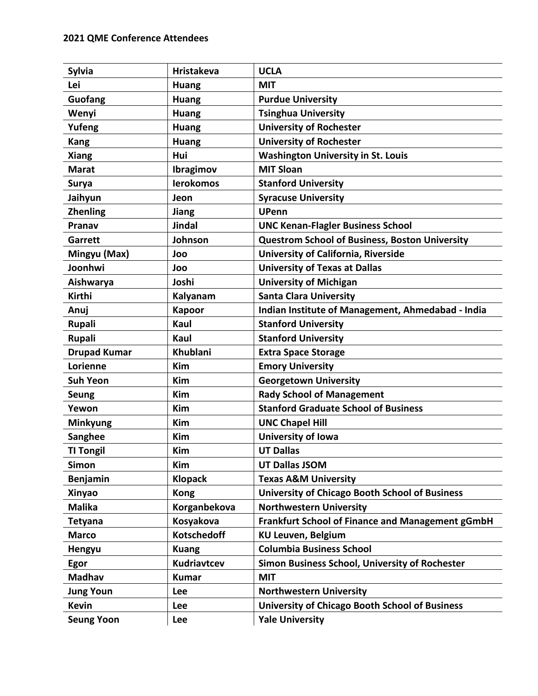| <b>Sylvia</b>       | <b>Hristakeva</b>  | <b>UCLA</b>                                           |
|---------------------|--------------------|-------------------------------------------------------|
| Lei                 | <b>Huang</b>       | <b>MIT</b>                                            |
| Guofang             | <b>Huang</b>       | <b>Purdue University</b>                              |
| Wenyi               | <b>Huang</b>       | <b>Tsinghua University</b>                            |
| Yufeng              | <b>Huang</b>       | <b>University of Rochester</b>                        |
| <b>Kang</b>         | <b>Huang</b>       | <b>University of Rochester</b>                        |
| <b>Xiang</b>        | Hui                | <b>Washington University in St. Louis</b>             |
| <b>Marat</b>        | Ibragimov          | <b>MIT Sloan</b>                                      |
| Surya               | <b>lerokomos</b>   | <b>Stanford University</b>                            |
| Jaihyun             | Jeon               | <b>Syracuse University</b>                            |
| <b>Zhenling</b>     | Jiang              | <b>UPenn</b>                                          |
| Pranav              | <b>Jindal</b>      | <b>UNC Kenan-Flagler Business School</b>              |
| Garrett             | Johnson            | <b>Questrom School of Business, Boston University</b> |
| Mingyu (Max)        | Joo                | University of California, Riverside                   |
| Joonhwi             | Joo                | <b>University of Texas at Dallas</b>                  |
| Aishwarya           | Joshi              | <b>University of Michigan</b>                         |
| Kirthi              | Kalyanam           | <b>Santa Clara University</b>                         |
| Anuj                | <b>Kapoor</b>      | Indian Institute of Management, Ahmedabad - India     |
| Rupali              | Kaul               | <b>Stanford University</b>                            |
| Rupali              | Kaul               | <b>Stanford University</b>                            |
| <b>Drupad Kumar</b> | Khublani           | <b>Extra Space Storage</b>                            |
| Lorienne            | <b>Kim</b>         | <b>Emory University</b>                               |
| <b>Suh Yeon</b>     | <b>Kim</b>         | <b>Georgetown University</b>                          |
| <b>Seung</b>        | Kim                | <b>Rady School of Management</b>                      |
| Yewon               | <b>Kim</b>         | <b>Stanford Graduate School of Business</b>           |
| <b>Minkyung</b>     | Kim                | <b>UNC Chapel Hill</b>                                |
| Sanghee             | Kim                | University of Iowa                                    |
| <b>TI Tongil</b>    | <b>Kim</b>         | <b>UT Dallas</b>                                      |
| <b>Simon</b>        | Kim                | <b>UT Dallas JSOM</b>                                 |
| Benjamin            | <b>Klopack</b>     | <b>Texas A&amp;M University</b>                       |
| <b>Xinyao</b>       | <b>Kong</b>        | <b>University of Chicago Booth School of Business</b> |
| <b>Malika</b>       | Korganbekova       | <b>Northwestern University</b>                        |
| <b>Tetyana</b>      | Kosyakova          | Frankfurt School of Finance and Management gGmbH      |
| <b>Marco</b>        | <b>Kotschedoff</b> | <b>KU Leuven, Belgium</b>                             |
| Hengyu              | <b>Kuang</b>       | <b>Columbia Business School</b>                       |
| Egor                | Kudriavtcev        | Simon Business School, University of Rochester        |
| <b>Madhav</b>       | <b>Kumar</b>       | <b>MIT</b>                                            |
| <b>Jung Youn</b>    | Lee                | <b>Northwestern University</b>                        |
| <b>Kevin</b>        | Lee                | <b>University of Chicago Booth School of Business</b> |
| <b>Seung Yoon</b>   | Lee                | <b>Yale University</b>                                |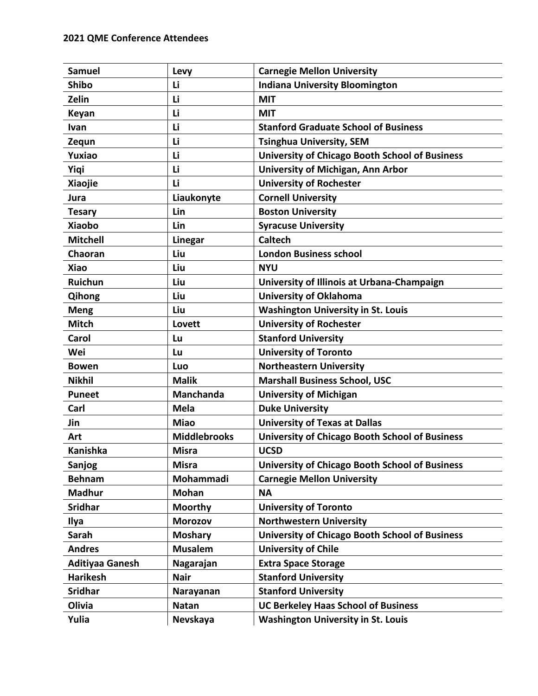| <b>Samuel</b>          | Levy                | <b>Carnegie Mellon University</b>                     |
|------------------------|---------------------|-------------------------------------------------------|
| <b>Shibo</b>           | Li                  | <b>Indiana University Bloomington</b>                 |
| Zelin                  | Li                  | <b>MIT</b>                                            |
| Keyan                  | Li                  | <b>MIT</b>                                            |
| <b>Ivan</b>            | Li                  | <b>Stanford Graduate School of Business</b>           |
| Zequn                  | Li                  | <b>Tsinghua University, SEM</b>                       |
| Yuxiao                 | Li                  | <b>University of Chicago Booth School of Business</b> |
| Yiqi                   | Li                  | University of Michigan, Ann Arbor                     |
| <b>Xiaojie</b>         | Li                  | <b>University of Rochester</b>                        |
| Jura                   | Liaukonyte          | <b>Cornell University</b>                             |
| <b>Tesary</b>          | Lin                 | <b>Boston University</b>                              |
| <b>Xiaobo</b>          | Lin                 | <b>Syracuse University</b>                            |
| <b>Mitchell</b>        | Linegar             | <b>Caltech</b>                                        |
| Chaoran                | Liu                 | <b>London Business school</b>                         |
| <b>Xiao</b>            | Liu                 | <b>NYU</b>                                            |
| Ruichun                | Liu                 | University of Illinois at Urbana-Champaign            |
| Qihong                 | Liu                 | <b>University of Oklahoma</b>                         |
| <b>Meng</b>            | Liu                 | <b>Washington University in St. Louis</b>             |
| <b>Mitch</b>           | Lovett              | <b>University of Rochester</b>                        |
| Carol                  | Lu                  | <b>Stanford University</b>                            |
| Wei                    | Lu                  | <b>University of Toronto</b>                          |
| <b>Bowen</b>           | Luo                 | <b>Northeastern University</b>                        |
| <b>Nikhil</b>          | <b>Malik</b>        | <b>Marshall Business School, USC</b>                  |
| <b>Puneet</b>          | Manchanda           | <b>University of Michigan</b>                         |
| Carl                   | <b>Mela</b>         | <b>Duke University</b>                                |
| Jin                    | <b>Miao</b>         | <b>University of Texas at Dallas</b>                  |
| Art                    | <b>Middlebrooks</b> | <b>University of Chicago Booth School of Business</b> |
| Kanishka               | <b>Misra</b>        | <b>UCSD</b>                                           |
| Sanjog                 | <b>Misra</b>        | University of Chicago Booth School of Business        |
| <b>Behnam</b>          | Mohammadi           | <b>Carnegie Mellon University</b>                     |
| <b>Madhur</b>          | <b>Mohan</b>        | <b>NA</b>                                             |
| <b>Sridhar</b>         | <b>Moorthy</b>      | <b>University of Toronto</b>                          |
| Ilya                   | <b>Morozov</b>      | <b>Northwestern University</b>                        |
| Sarah                  | <b>Moshary</b>      | <b>University of Chicago Booth School of Business</b> |
| <b>Andres</b>          | <b>Musalem</b>      | <b>University of Chile</b>                            |
| <b>Aditiyaa Ganesh</b> | Nagarajan           | <b>Extra Space Storage</b>                            |
| <b>Harikesh</b>        | <b>Nair</b>         | <b>Stanford University</b>                            |
| <b>Sridhar</b>         | Narayanan           | <b>Stanford University</b>                            |
| Olivia                 | <b>Natan</b>        | <b>UC Berkeley Haas School of Business</b>            |
| Yulia                  | Nevskaya            | <b>Washington University in St. Louis</b>             |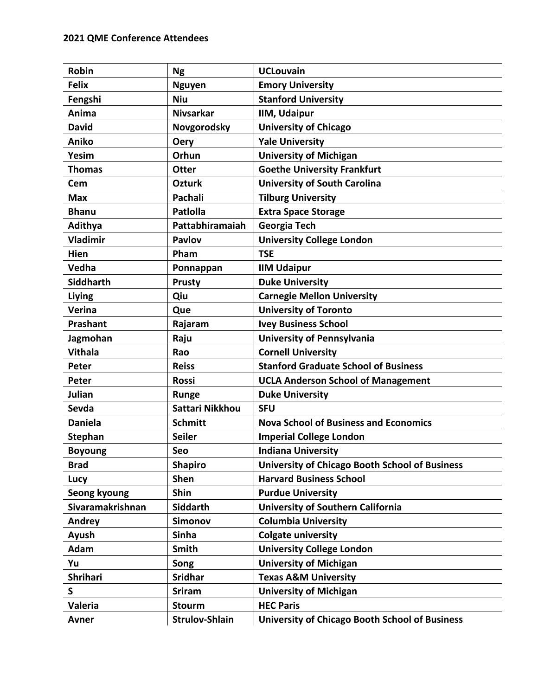| Robin            | <b>Ng</b>             | <b>UCLouvain</b>                                      |
|------------------|-----------------------|-------------------------------------------------------|
| <b>Felix</b>     | <b>Nguyen</b>         | <b>Emory University</b>                               |
| Fengshi          | <b>Niu</b>            | <b>Stanford University</b>                            |
| Anima            | <b>Nivsarkar</b>      | <b>IIM, Udaipur</b>                                   |
| <b>David</b>     | Novgorodsky           | <b>University of Chicago</b>                          |
| Aniko            | <b>Oery</b>           | <b>Yale University</b>                                |
| Yesim            | Orhun                 | <b>University of Michigan</b>                         |
| <b>Thomas</b>    | <b>Otter</b>          | <b>Goethe University Frankfurt</b>                    |
| Cem              | <b>Ozturk</b>         | <b>University of South Carolina</b>                   |
| <b>Max</b>       | Pachali               | <b>Tilburg University</b>                             |
| <b>Bhanu</b>     | <b>Patiolla</b>       | <b>Extra Space Storage</b>                            |
| Adithya          | Pattabhiramaiah       | <b>Georgia Tech</b>                                   |
| <b>Vladimir</b>  | <b>Pavlov</b>         | <b>University College London</b>                      |
| Hien             | Pham                  | <b>TSE</b>                                            |
| Vedha            | Ponnappan             | <b>IIM Udaipur</b>                                    |
| <b>Siddharth</b> | <b>Prusty</b>         | <b>Duke University</b>                                |
| <b>Liying</b>    | Qiu                   | <b>Carnegie Mellon University</b>                     |
| Verina           | Que                   | <b>University of Toronto</b>                          |
| Prashant         | Rajaram               | <b>Ivey Business School</b>                           |
| Jagmohan         | Raju                  | <b>University of Pennsylvania</b>                     |
| <b>Vithala</b>   | Rao                   | <b>Cornell University</b>                             |
| Peter            | <b>Reiss</b>          | <b>Stanford Graduate School of Business</b>           |
| Peter            | <b>Rossi</b>          | <b>UCLA Anderson School of Management</b>             |
| Julian           | <b>Runge</b>          | <b>Duke University</b>                                |
| Sevda            | Sattari Nikkhou       | <b>SFU</b>                                            |
| <b>Daniela</b>   | <b>Schmitt</b>        | <b>Nova School of Business and Economics</b>          |
| <b>Stephan</b>   | <b>Seiler</b>         | <b>Imperial College London</b>                        |
| <b>Boyoung</b>   | Seo                   | <b>Indiana University</b>                             |
| <b>Brad</b>      | <b>Shapiro</b>        | <b>University of Chicago Booth School of Business</b> |
| Lucy             | Shen                  | <b>Harvard Business School</b>                        |
| Seong kyoung     | Shin                  | <b>Purdue University</b>                              |
| Sivaramakrishnan | Siddarth              | <b>University of Southern California</b>              |
| Andrey           | <b>Simonov</b>        | <b>Columbia University</b>                            |
| Ayush            | <b>Sinha</b>          | <b>Colgate university</b>                             |
| Adam             | Smith                 | <b>University College London</b>                      |
| Yu               | Song                  | <b>University of Michigan</b>                         |
| <b>Shrihari</b>  | <b>Sridhar</b>        | <b>Texas A&amp;M University</b>                       |
| S                | <b>Sriram</b>         | <b>University of Michigan</b>                         |
| Valeria          | <b>Stourm</b>         | <b>HEC Paris</b>                                      |
| Avner            | <b>Strulov-Shlain</b> | <b>University of Chicago Booth School of Business</b> |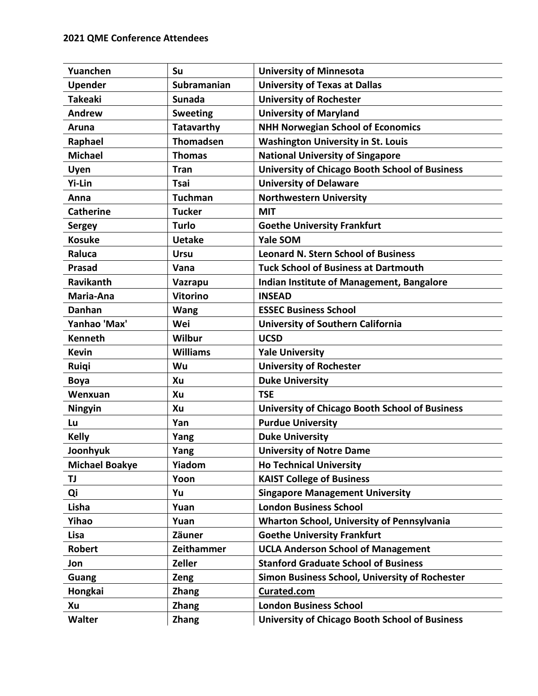| Yuanchen              | Su               | <b>University of Minnesota</b>                        |
|-----------------------|------------------|-------------------------------------------------------|
| <b>Upender</b>        | Subramanian      | <b>University of Texas at Dallas</b>                  |
| <b>Takeaki</b>        | <b>Sunada</b>    | <b>University of Rochester</b>                        |
| <b>Andrew</b>         | <b>Sweeting</b>  | <b>University of Maryland</b>                         |
| Aruna                 | Tatavarthy       | <b>NHH Norwegian School of Economics</b>              |
| Raphael               | <b>Thomadsen</b> | <b>Washington University in St. Louis</b>             |
| <b>Michael</b>        | <b>Thomas</b>    | <b>National University of Singapore</b>               |
| Uyen                  | <b>Tran</b>      | <b>University of Chicago Booth School of Business</b> |
| <b>Yi-Lin</b>         | Tsai             | <b>University of Delaware</b>                         |
| Anna                  | <b>Tuchman</b>   | <b>Northwestern University</b>                        |
| <b>Catherine</b>      | <b>Tucker</b>    | <b>MIT</b>                                            |
| <b>Sergey</b>         | <b>Turlo</b>     | <b>Goethe University Frankfurt</b>                    |
| <b>Kosuke</b>         | <b>Uetake</b>    | Yale SOM                                              |
| Raluca                | <b>Ursu</b>      | <b>Leonard N. Stern School of Business</b>            |
| <b>Prasad</b>         | Vana             | <b>Tuck School of Business at Dartmouth</b>           |
| Ravikanth             | Vazrapu          | <b>Indian Institute of Management, Bangalore</b>      |
| Maria-Ana             | <b>Vitorino</b>  | <b>INSEAD</b>                                         |
| <b>Danhan</b>         | <b>Wang</b>      | <b>ESSEC Business School</b>                          |
| Yanhao 'Max'          | Wei              | <b>University of Southern California</b>              |
| <b>Kenneth</b>        | Wilbur           | <b>UCSD</b>                                           |
| <b>Kevin</b>          | <b>Williams</b>  | <b>Yale University</b>                                |
| Ruiqi                 | Wu               | <b>University of Rochester</b>                        |
| <b>Boya</b>           | Xu               | <b>Duke University</b>                                |
| Wenxuan               | Xu               | <b>TSE</b>                                            |
| Ningyin               | Xu               | <b>University of Chicago Booth School of Business</b> |
| Lu                    | Yan              | <b>Purdue University</b>                              |
| <b>Kelly</b>          | Yang             | <b>Duke University</b>                                |
| Joonhyuk              | Yang             | <b>University of Notre Dame</b>                       |
| <b>Michael Boakye</b> | Yiadom           | <b>Ho Technical University</b>                        |
| TJ                    | Yoon             | <b>KAIST College of Business</b>                      |
| Qi                    | Yu               | <b>Singapore Management University</b>                |
| Lisha                 | Yuan             | <b>London Business School</b>                         |
| Yihao                 | Yuan             | Wharton School, University of Pennsylvania            |
| Lisa                  | Zäuner           | <b>Goethe University Frankfurt</b>                    |
| <b>Robert</b>         | Zeithammer       | <b>UCLA Anderson School of Management</b>             |
| Jon                   | Zeller           | <b>Stanford Graduate School of Business</b>           |
| <b>Guang</b>          | Zeng             | Simon Business School, University of Rochester        |
| Hongkai               | <b>Zhang</b>     | Curated.com                                           |
| Xu                    | <b>Zhang</b>     | <b>London Business School</b>                         |
| <b>Walter</b>         | <b>Zhang</b>     | <b>University of Chicago Booth School of Business</b> |